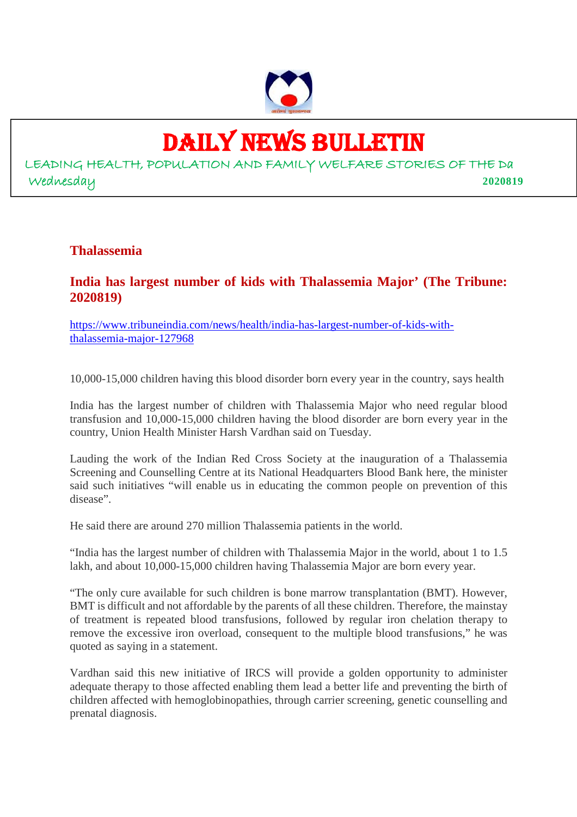

## DAILY NEWS BULLETIN

LEADING HEALTH, POPULATION AND FAMILY WELFARE STORIES OF THE Da Wednesday **2020819**

#### **Thalassemia**

#### **India has largest number of kids with Thalassemia Major' (The Tribune: 2020819)**

https://www.tribuneindia.com/news/health/india-has-largest-number-of-kids-withthalassemia-major-127968

10,000-15,000 children having this blood disorder born every year in the country, says health

India has the largest number of children with Thalassemia Major who need regular blood transfusion and 10,000-15,000 children having the blood disorder are born every year in the country, Union Health Minister Harsh Vardhan said on Tuesday.

Lauding the work of the Indian Red Cross Society at the inauguration of a Thalassemia Screening and Counselling Centre at its National Headquarters Blood Bank here, the minister said such initiatives "will enable us in educating the common people on prevention of this disease".

He said there are around 270 million Thalassemia patients in the world.

"India has the largest number of children with Thalassemia Major in the world, about 1 to 1.5 lakh, and about 10,000-15,000 children having Thalassemia Major are born every year.

"The only cure available for such children is bone marrow transplantation (BMT). However, BMT is difficult and not affordable by the parents of all these children. Therefore, the mainstay of treatment is repeated blood transfusions, followed by regular iron chelation therapy to remove the excessive iron overload, consequent to the multiple blood transfusions," he was quoted as saying in a statement.

Vardhan said this new initiative of IRCS will provide a golden opportunity to administer adequate therapy to those affected enabling them lead a better life and preventing the birth of children affected with hemoglobinopathies, through carrier screening, genetic counselling and prenatal diagnosis.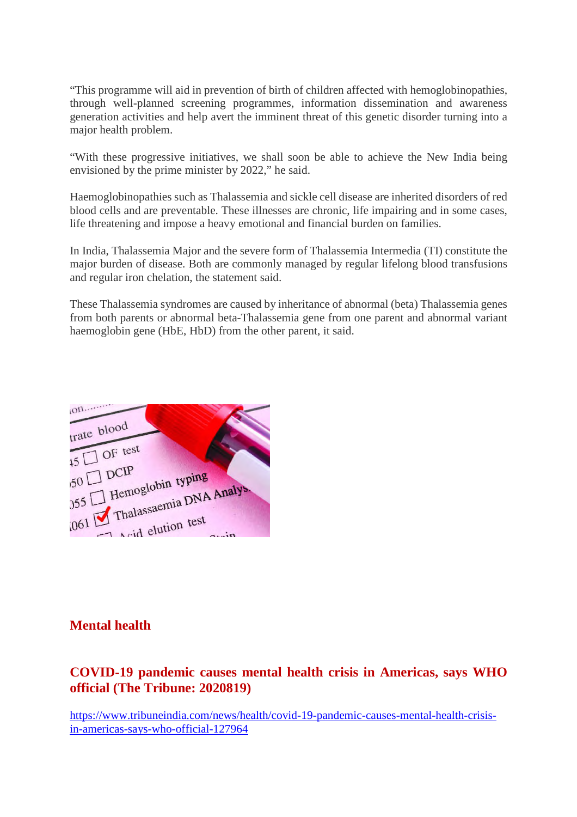"This programme will aid in prevention of birth of children affected with hemoglobinopathies, through well-planned screening programmes, information dissemination and awareness generation activities and help avert the imminent threat of this genetic disorder turning into a major health problem.

"With these progressive initiatives, we shall soon be able to achieve the New India being envisioned by the prime minister by 2022," he said.

Haemoglobinopathies such as Thalassemia and sickle cell disease are inherited disorders of red blood cells and are preventable. These illnesses are chronic, life impairing and in some cases, life threatening and impose a heavy emotional and financial burden on families.

In India, Thalassemia Major and the severe form of Thalassemia Intermedia (TI) constitute the major burden of disease. Both are commonly managed by regular lifelong blood transfusions and regular iron chelation, the statement said.

These Thalassemia syndromes are caused by inheritance of abnormal (beta) Thalassemia genes from both parents or abnormal beta-Thalassemia gene from one parent and abnormal variant haemoglobin gene (HbE, HbD) from the other parent, it said.



#### **Mental health**

#### **COVID-19 pandemic causes mental health crisis in Americas, says WHO official (The Tribune: 2020819)**

https://www.tribuneindia.com/news/health/covid-19-pandemic-causes-mental-health-crisisin-americas-says-who-official-127964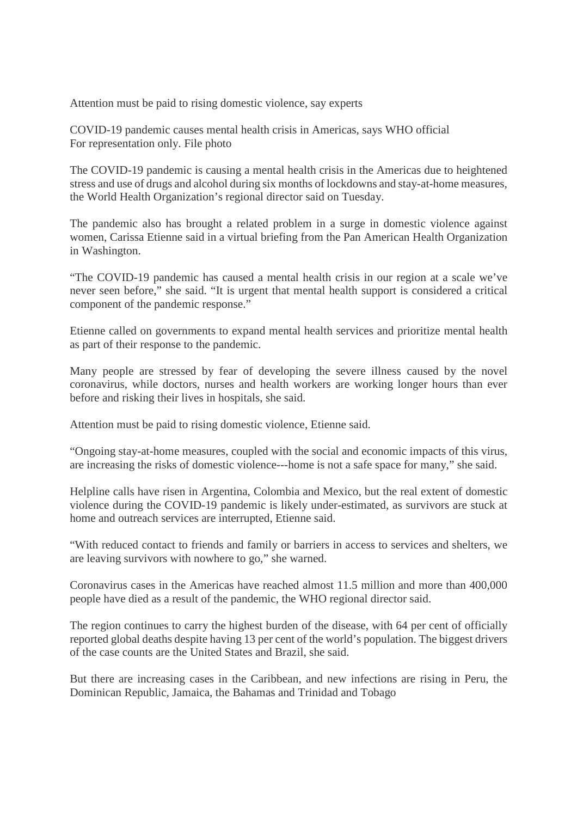Attention must be paid to rising domestic violence, say experts

COVID-19 pandemic causes mental health crisis in Americas, says WHO official For representation only. File photo

The COVID-19 pandemic is causing a mental health crisis in the Americas due to heightened stress and use of drugs and alcohol during six months of lockdowns and stay-at-home measures, the World Health Organization's regional director said on Tuesday.

The pandemic also has brought a related problem in a surge in domestic violence against women, Carissa Etienne said in a virtual briefing from the Pan American Health Organization in Washington.

"The COVID-19 pandemic has caused a mental health crisis in our region at a scale we've never seen before," she said. "It is urgent that mental health support is considered a critical component of the pandemic response."

Etienne called on governments to expand mental health services and prioritize mental health as part of their response to the pandemic.

Many people are stressed by fear of developing the severe illness caused by the novel coronavirus, while doctors, nurses and health workers are working longer hours than ever before and risking their lives in hospitals, she said.

Attention must be paid to rising domestic violence, Etienne said.

"Ongoing stay-at-home measures, coupled with the social and economic impacts of this virus, are increasing the risks of domestic violence---home is not a safe space for many," she said.

Helpline calls have risen in Argentina, Colombia and Mexico, but the real extent of domestic violence during the COVID-19 pandemic is likely under-estimated, as survivors are stuck at home and outreach services are interrupted, Etienne said.

"With reduced contact to friends and family or barriers in access to services and shelters, we are leaving survivors with nowhere to go," she warned.

Coronavirus cases in the Americas have reached almost 11.5 million and more than 400,000 people have died as a result of the pandemic, the WHO regional director said.

The region continues to carry the highest burden of the disease, with 64 per cent of officially reported global deaths despite having 13 per cent of the world's population. The biggest drivers of the case counts are the United States and Brazil, she said.

But there are increasing cases in the Caribbean, and new infections are rising in Peru, the Dominican Republic, Jamaica, the Bahamas and Trinidad and Tobago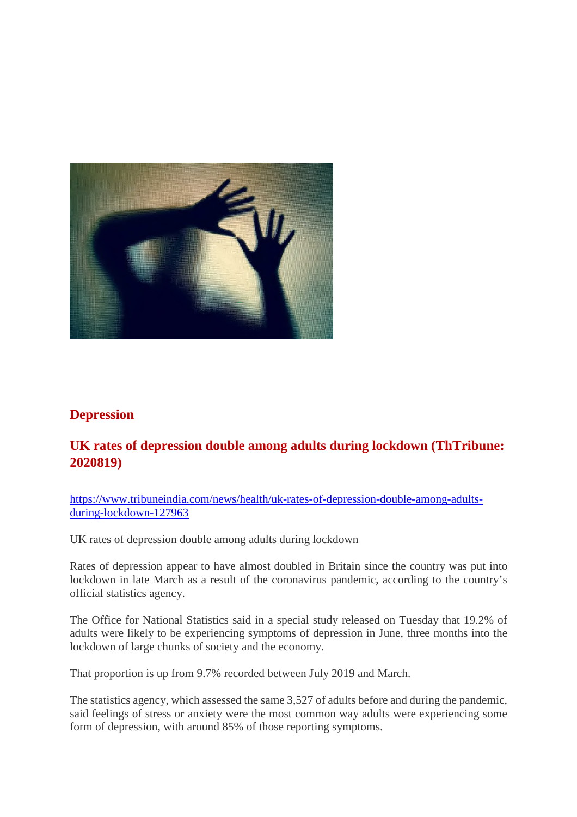

#### **Depression**

#### **UK rates of depression double among adults during lockdown (ThTribune: 2020819)**

https://www.tribuneindia.com/news/health/uk-rates-of-depression-double-among-adultsduring-lockdown-127963

UK rates of depression double among adults during lockdown

Rates of depression appear to have almost doubled in Britain since the country was put into lockdown in late March as a result of the coronavirus pandemic, according to the country's official statistics agency.

The Office for National Statistics said in a special study released on Tuesday that 19.2% of adults were likely to be experiencing symptoms of depression in June, three months into the lockdown of large chunks of society and the economy.

That proportion is up from 9.7% recorded between July 2019 and March.

The statistics agency, which assessed the same 3,527 of adults before and during the pandemic, said feelings of stress or anxiety were the most common way adults were experiencing some form of depression, with around 85% of those reporting symptoms.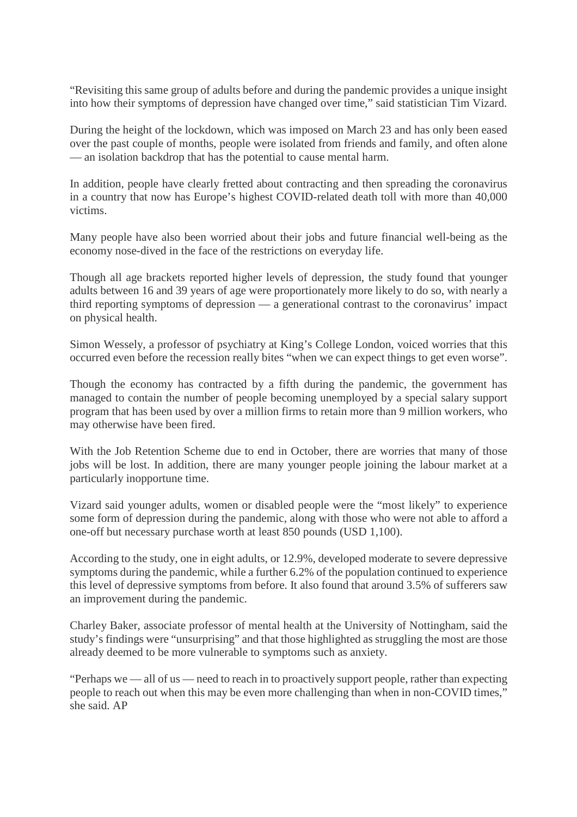"Revisiting this same group of adults before and during the pandemic provides a unique insight into how their symptoms of depression have changed over time," said statistician Tim Vizard.

During the height of the lockdown, which was imposed on March 23 and has only been eased over the past couple of months, people were isolated from friends and family, and often alone — an isolation backdrop that has the potential to cause mental harm.

In addition, people have clearly fretted about contracting and then spreading the coronavirus in a country that now has Europe's highest COVID-related death toll with more than 40,000 victims.

Many people have also been worried about their jobs and future financial well-being as the economy nose-dived in the face of the restrictions on everyday life.

Though all age brackets reported higher levels of depression, the study found that younger adults between 16 and 39 years of age were proportionately more likely to do so, with nearly a third reporting symptoms of depression — a generational contrast to the coronavirus' impact on physical health.

Simon Wessely, a professor of psychiatry at King's College London, voiced worries that this occurred even before the recession really bites "when we can expect things to get even worse".

Though the economy has contracted by a fifth during the pandemic, the government has managed to contain the number of people becoming unemployed by a special salary support program that has been used by over a million firms to retain more than 9 million workers, who may otherwise have been fired.

With the Job Retention Scheme due to end in October, there are worries that many of those jobs will be lost. In addition, there are many younger people joining the labour market at a particularly inopportune time.

Vizard said younger adults, women or disabled people were the "most likely" to experience some form of depression during the pandemic, along with those who were not able to afford a one-off but necessary purchase worth at least 850 pounds (USD 1,100).

According to the study, one in eight adults, or 12.9%, developed moderate to severe depressive symptoms during the pandemic, while a further 6.2% of the population continued to experience this level of depressive symptoms from before. It also found that around 3.5% of sufferers saw an improvement during the pandemic.

Charley Baker, associate professor of mental health at the University of Nottingham, said the study's findings were "unsurprising" and that those highlighted as struggling the most are those already deemed to be more vulnerable to symptoms such as anxiety.

"Perhaps we — all of us — need to reach in to proactively support people, rather than expecting people to reach out when this may be even more challenging than when in non-COVID times," she said. AP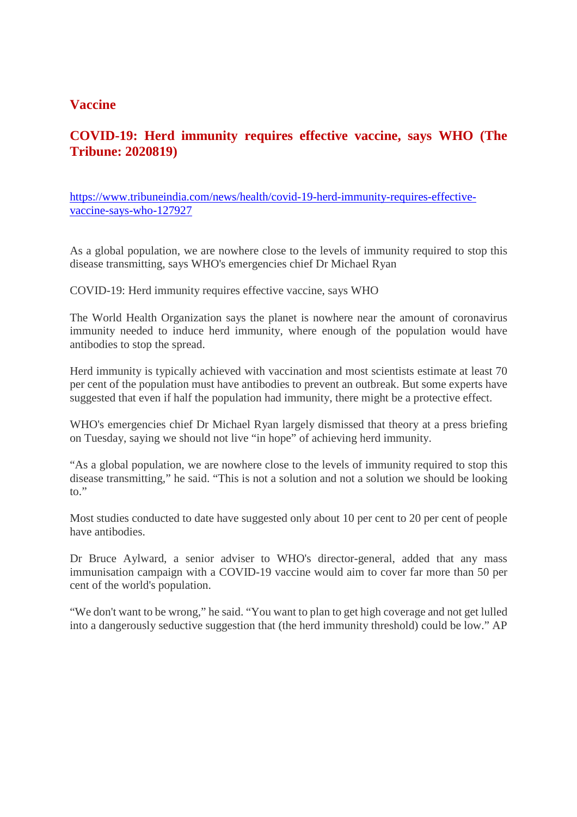#### **Vaccine**

#### **COVID-19: Herd immunity requires effective vaccine, says WHO (The Tribune: 2020819)**

https://www.tribuneindia.com/news/health/covid-19-herd-immunity-requires-effectivevaccine-says-who-127927

As a global population, we are nowhere close to the levels of immunity required to stop this disease transmitting, says WHO's emergencies chief Dr Michael Ryan

COVID-19: Herd immunity requires effective vaccine, says WHO

The World Health Organization says the planet is nowhere near the amount of coronavirus immunity needed to induce herd immunity, where enough of the population would have antibodies to stop the spread.

Herd immunity is typically achieved with vaccination and most scientists estimate at least 70 per cent of the population must have antibodies to prevent an outbreak. But some experts have suggested that even if half the population had immunity, there might be a protective effect.

WHO's emergencies chief Dr Michael Ryan largely dismissed that theory at a press briefing on Tuesday, saying we should not live "in hope" of achieving herd immunity.

"As a global population, we are nowhere close to the levels of immunity required to stop this disease transmitting," he said. "This is not a solution and not a solution we should be looking to."

Most studies conducted to date have suggested only about 10 per cent to 20 per cent of people have antibodies.

Dr Bruce Aylward, a senior adviser to WHO's director-general, added that any mass immunisation campaign with a COVID-19 vaccine would aim to cover far more than 50 per cent of the world's population.

"We don't want to be wrong," he said. "You want to plan to get high coverage and not get lulled into a dangerously seductive suggestion that (the herd immunity threshold) could be low." AP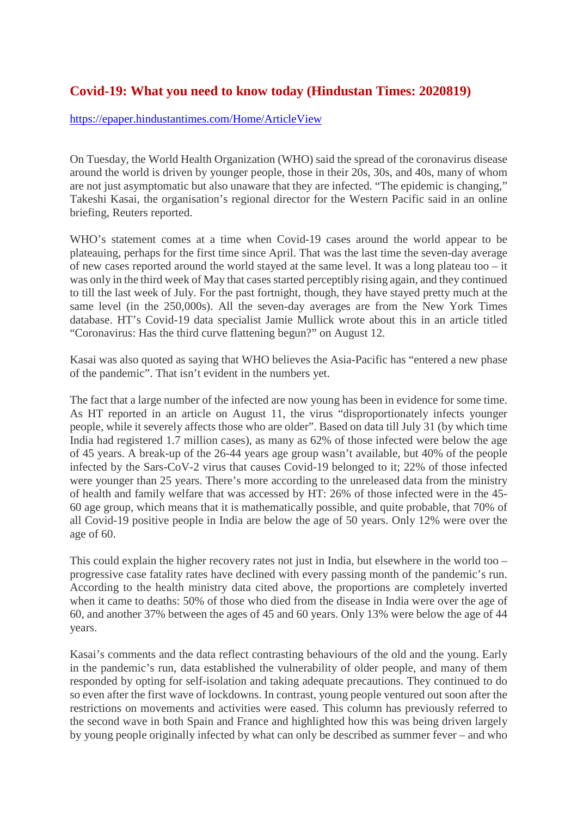#### **Covid-19: What you need to know today (Hindustan Times: 2020819)**

#### https://epaper.hindustantimes.com/Home/ArticleView

On Tuesday, the World Health Organization (WHO) said the spread of the coronavirus disease around the world is driven by younger people, those in their 20s, 30s, and 40s, many of whom are not just asymptomatic but also unaware that they are infected. "The epidemic is changing," Takeshi Kasai, the organisation's regional director for the Western Pacific said in an online briefing, Reuters reported.

WHO's statement comes at a time when Covid-19 cases around the world appear to be plateauing, perhaps for the first time since April. That was the last time the seven-day average of new cases reported around the world stayed at the same level. It was a long plateau too – it was only in the third week of May that cases started perceptibly rising again, and they continued to till the last week of July. For the past fortnight, though, they have stayed pretty much at the same level (in the 250,000s). All the seven-day averages are from the New York Times database. HT's Covid-19 data specialist Jamie Mullick wrote about this in an article titled "Coronavirus: Has the third curve flattening begun?" on August 12.

Kasai was also quoted as saying that WHO believes the Asia-Pacific has "entered a new phase of the pandemic". That isn't evident in the numbers yet.

The fact that a large number of the infected are now young has been in evidence for some time. As HT reported in an article on August 11, the virus "disproportionately infects younger people, while it severely affects those who are older". Based on data till July 31 (by which time India had registered 1.7 million cases), as many as 62% of those infected were below the age of 45 years. A break-up of the 26-44 years age group wasn't available, but 40% of the people infected by the Sars-CoV-2 virus that causes Covid-19 belonged to it; 22% of those infected were younger than 25 years. There's more according to the unreleased data from the ministry of health and family welfare that was accessed by HT: 26% of those infected were in the 45- 60 age group, which means that it is mathematically possible, and quite probable, that 70% of all Covid-19 positive people in India are below the age of 50 years. Only 12% were over the age of 60.

This could explain the higher recovery rates not just in India, but elsewhere in the world too – progressive case fatality rates have declined with every passing month of the pandemic's run. According to the health ministry data cited above, the proportions are completely inverted when it came to deaths: 50% of those who died from the disease in India were over the age of 60, and another 37% between the ages of 45 and 60 years. Only 13% were below the age of 44 years.

Kasai's comments and the data reflect contrasting behaviours of the old and the young. Early in the pandemic's run, data established the vulnerability of older people, and many of them responded by opting for self-isolation and taking adequate precautions. They continued to do so even after the first wave of lockdowns. In contrast, young people ventured out soon after the restrictions on movements and activities were eased. This column has previously referred to the second wave in both Spain and France and highlighted how this was being driven largely by young people originally infected by what can only be described as summer fever – and who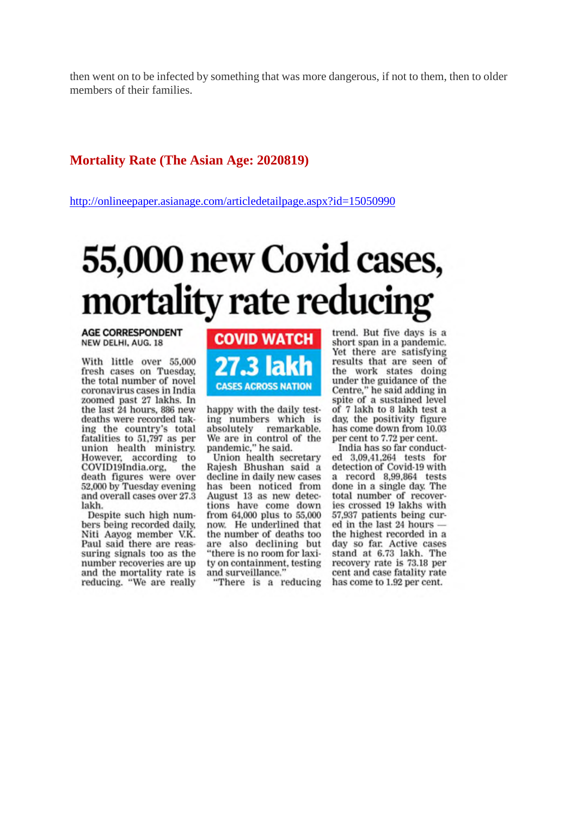then went on to be infected by something that was more dangerous, if not to them, then to older members of their families.

#### **Mortality Rate (The Asian Age: 2020819)**

http://onlineepaper.asianage.com/articledetailpage.aspx?id=15050990

# 55,000 new Covid cases, mortality rate reducing

#### **AGE CORRESPONDENT** NEW DELHI, AUG. 18

With little over 55,000 fresh cases on Tuesday, the total number of novel coronavirus cases in India zoomed past 27 lakhs. In the last 24 hours, 886 new deaths were recorded taking the country's total fatalities to 51,797 as per union health ministry. However, according to COVID19India.org, the death figures were over 52,000 by Tuesday evening and overall cases over 27.3 lakh.

Despite such high numbers being recorded daily, Niti Aayog member V.K. Paul said there are reassuring signals too as the number recoveries are up and the mortality rate is reducing. "We are really



happy with the daily testing numbers which is<br>absolutely remarkable. remarkable. We are in control of the pandemic," he said.

Union health secretary<br>Rajesh Bhushan said a decline in daily new cases has been noticed from August 13 as new detections have come down from 64,000 plus to 55,000 now. He underlined that the number of deaths too are also declining but "there is no room for laxity on containment, testing and surveillance.'

"There is a reducing

trend. But five days is a short span in a pandemic. Yet there are satisfying results that are seen of the work states doing under the guidance of the Centre," he said adding in spite of a sustained level of 7 lakh to 8 lakh test a day, the positivity figure has come down from 10.03 per cent to 7.72 per cent.

India has so far conducted 3,09,41,264 tests for detection of Covid-19 with a record 8,99,864 tests done in a single day. The total number of recoveries crossed 19 lakhs with 57,937 patients being cured in the last 24 hours the highest recorded in a day so far. Active cases stand at 6.73 lakh. The recovery rate is 73.18 per cent and case fatality rate has come to 1.92 per cent.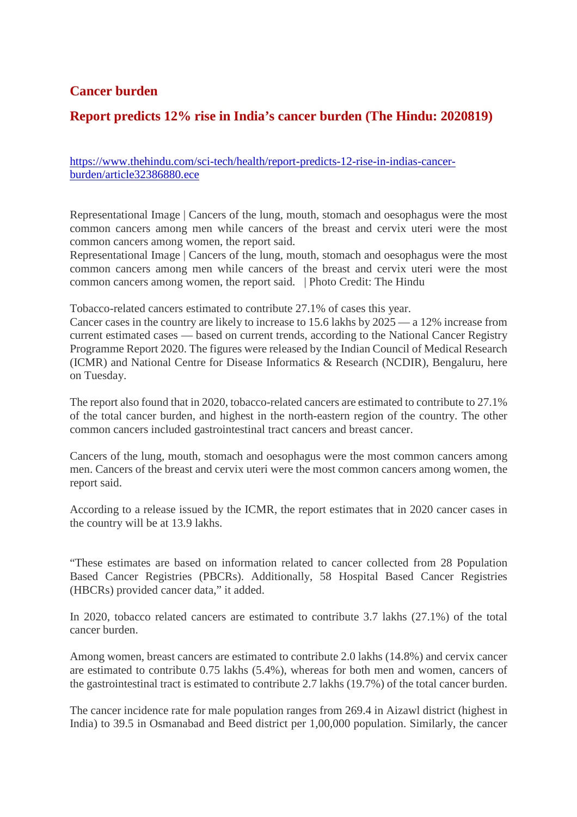#### **Cancer burden**

#### **Report predicts 12% rise in India's cancer burden (The Hindu: 2020819)**

https://www.thehindu.com/sci-tech/health/report-predicts-12-rise-in-indias-cancerburden/article32386880.ece

Representational Image | Cancers of the lung, mouth, stomach and oesophagus were the most common cancers among men while cancers of the breast and cervix uteri were the most common cancers among women, the report said.

Representational Image | Cancers of the lung, mouth, stomach and oesophagus were the most common cancers among men while cancers of the breast and cervix uteri were the most common cancers among women, the report said. | Photo Credit: The Hindu

Tobacco-related cancers estimated to contribute 27.1% of cases this year.

Cancer cases in the country are likely to increase to 15.6 lakhs by 2025 — a 12% increase from current estimated cases — based on current trends, according to the National Cancer Registry Programme Report 2020. The figures were released by the Indian Council of Medical Research (ICMR) and National Centre for Disease Informatics & Research (NCDIR), Bengaluru, here on Tuesday.

The report also found that in 2020, tobacco-related cancers are estimated to contribute to 27.1% of the total cancer burden, and highest in the north-eastern region of the country. The other common cancers included gastrointestinal tract cancers and breast cancer.

Cancers of the lung, mouth, stomach and oesophagus were the most common cancers among men. Cancers of the breast and cervix uteri were the most common cancers among women, the report said.

According to a release issued by the ICMR, the report estimates that in 2020 cancer cases in the country will be at 13.9 lakhs.

"These estimates are based on information related to cancer collected from 28 Population Based Cancer Registries (PBCRs). Additionally, 58 Hospital Based Cancer Registries (HBCRs) provided cancer data," it added.

In 2020, tobacco related cancers are estimated to contribute 3.7 lakhs (27.1%) of the total cancer burden.

Among women, breast cancers are estimated to contribute 2.0 lakhs (14.8%) and cervix cancer are estimated to contribute 0.75 lakhs (5.4%), whereas for both men and women, cancers of the gastrointestinal tract is estimated to contribute 2.7 lakhs (19.7%) of the total cancer burden.

The cancer incidence rate for male population ranges from 269.4 in Aizawl district (highest in India) to 39.5 in Osmanabad and Beed district per 1,00,000 population. Similarly, the cancer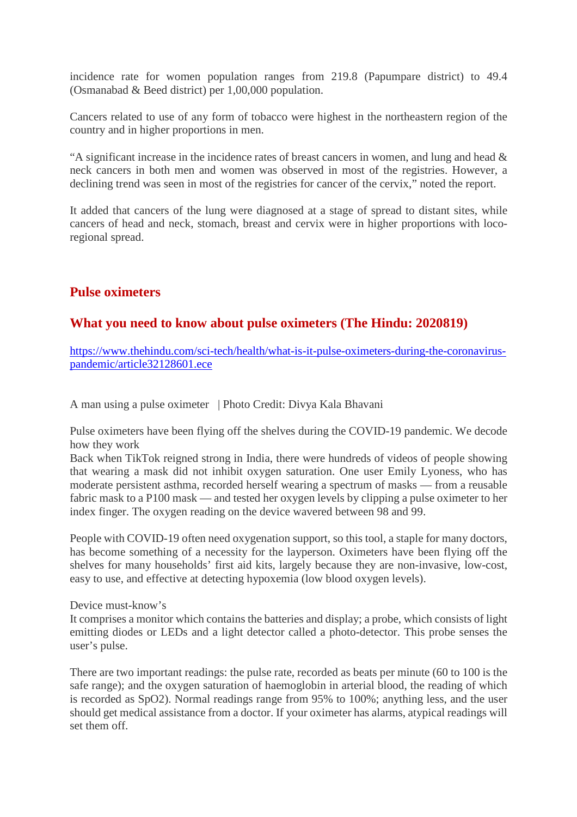incidence rate for women population ranges from 219.8 (Papumpare district) to 49.4 (Osmanabad & Beed district) per 1,00,000 population.

Cancers related to use of any form of tobacco were highest in the northeastern region of the country and in higher proportions in men.

"A significant increase in the incidence rates of breast cancers in women, and lung and head  $\&$ neck cancers in both men and women was observed in most of the registries. However, a declining trend was seen in most of the registries for cancer of the cervix," noted the report.

It added that cancers of the lung were diagnosed at a stage of spread to distant sites, while cancers of head and neck, stomach, breast and cervix were in higher proportions with locoregional spread.

#### **Pulse oximeters**

#### **What you need to know about pulse oximeters (The Hindu: 2020819)**

https://www.thehindu.com/sci-tech/health/what-is-it-pulse-oximeters-during-the-coronaviruspandemic/article32128601.ece

A man using a pulse oximeter | Photo Credit: Divya Kala Bhavani

Pulse oximeters have been flying off the shelves during the COVID-19 pandemic. We decode how they work

Back when TikTok reigned strong in India, there were hundreds of videos of people showing that wearing a mask did not inhibit oxygen saturation. One user Emily Lyoness, who has moderate persistent asthma, recorded herself wearing a spectrum of masks — from a reusable fabric mask to a P100 mask — and tested her oxygen levels by clipping a pulse oximeter to her index finger. The oxygen reading on the device wavered between 98 and 99.

People with COVID-19 often need oxygenation support, so this tool, a staple for many doctors, has become something of a necessity for the layperson. Oximeters have been flying off the shelves for many households' first aid kits, largely because they are non-invasive, low-cost, easy to use, and effective at detecting hypoxemia (low blood oxygen levels).

Device must-know's

It comprises a monitor which contains the batteries and display; a probe, which consists of light emitting diodes or LEDs and a light detector called a photo-detector. This probe senses the user's pulse.

There are two important readings: the pulse rate, recorded as beats per minute (60 to 100 is the safe range); and the oxygen saturation of haemoglobin in arterial blood, the reading of which is recorded as SpO2). Normal readings range from 95% to 100%; anything less, and the user should get medical assistance from a doctor. If your oximeter has alarms, atypical readings will set them off.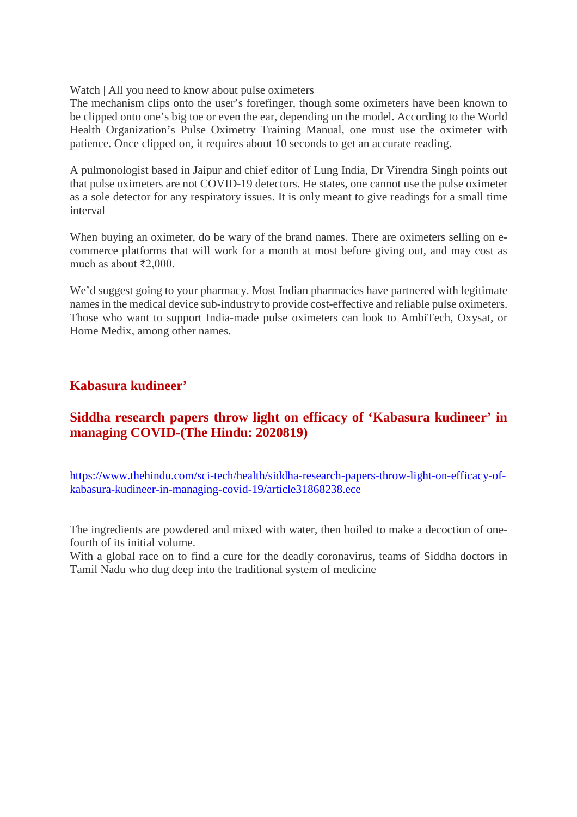Watch | All you need to know about pulse oximeters

The mechanism clips onto the user's forefinger, though some oximeters have been known to be clipped onto one's big toe or even the ear, depending on the model. According to the World Health Organization's Pulse Oximetry Training Manual, one must use the oximeter with patience. Once clipped on, it requires about 10 seconds to get an accurate reading.

A pulmonologist based in Jaipur and chief editor of Lung India, Dr Virendra Singh points out that pulse oximeters are not COVID-19 detectors. He states, one cannot use the pulse oximeter as a sole detector for any respiratory issues. It is only meant to give readings for a small time interval

When buying an oximeter, do be wary of the brand names. There are oximeters selling on ecommerce platforms that will work for a month at most before giving out, and may cost as much as about ₹2,000.

We'd suggest going to your pharmacy. Most Indian pharmacies have partnered with legitimate names in the medical device sub-industry to provide cost-effective and reliable pulse oximeters. Those who want to support India-made pulse oximeters can look to AmbiTech, Oxysat, or Home Medix, among other names.

#### **Kabasura kudineer'**

#### **Siddha research papers throw light on efficacy of 'Kabasura kudineer' in managing COVID-(The Hindu: 2020819)**

https://www.thehindu.com/sci-tech/health/siddha-research-papers-throw-light-on-efficacy-ofkabasura-kudineer-in-managing-covid-19/article31868238.ece

The ingredients are powdered and mixed with water, then boiled to make a decoction of onefourth of its initial volume.

With a global race on to find a cure for the deadly coronavirus, teams of Siddha doctors in Tamil Nadu who dug deep into the traditional system of medicine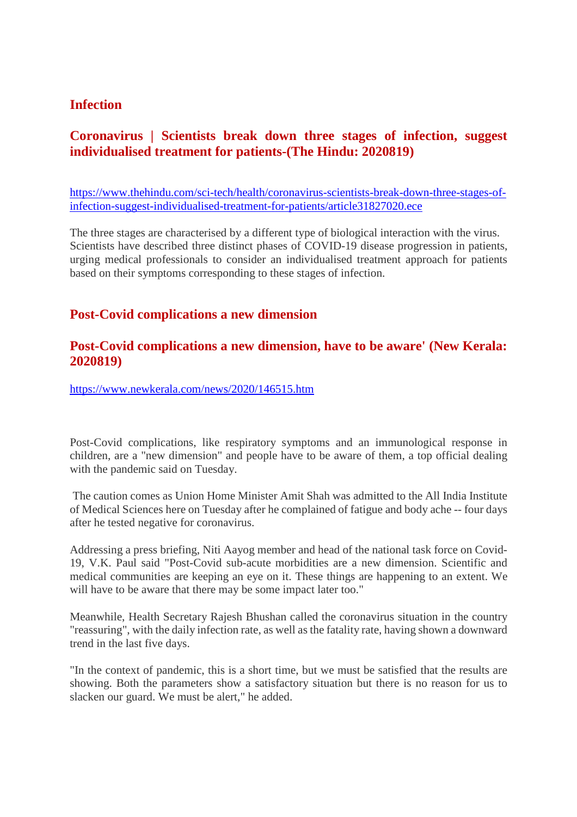#### **Infection**

#### **Coronavirus | Scientists break down three stages of infection, suggest individualised treatment for patients-(The Hindu: 2020819)**

https://www.thehindu.com/sci-tech/health/coronavirus-scientists-break-down-three-stages-ofinfection-suggest-individualised-treatment-for-patients/article31827020.ece

The three stages are characterised by a different type of biological interaction with the virus. Scientists have described three distinct phases of COVID-19 disease progression in patients, urging medical professionals to consider an individualised treatment approach for patients based on their symptoms corresponding to these stages of infection.

#### **Post-Covid complications a new dimension**

#### **Post-Covid complications a new dimension, have to be aware' (New Kerala: 2020819)**

https://www.newkerala.com/news/2020/146515.htm

Post-Covid complications, like respiratory symptoms and an immunological response in children, are a "new dimension" and people have to be aware of them, a top official dealing with the pandemic said on Tuesday.

The caution comes as Union Home Minister Amit Shah was admitted to the All India Institute of Medical Sciences here on Tuesday after he complained of fatigue and body ache -- four days after he tested negative for coronavirus.

Addressing a press briefing, Niti Aayog member and head of the national task force on Covid-19, V.K. Paul said "Post-Covid sub-acute morbidities are a new dimension. Scientific and medical communities are keeping an eye on it. These things are happening to an extent. We will have to be aware that there may be some impact later too."

Meanwhile, Health Secretary Rajesh Bhushan called the coronavirus situation in the country "reassuring", with the daily infection rate, as well as the fatality rate, having shown a downward trend in the last five days.

"In the context of pandemic, this is a short time, but we must be satisfied that the results are showing. Both the parameters show a satisfactory situation but there is no reason for us to slacken our guard. We must be alert," he added.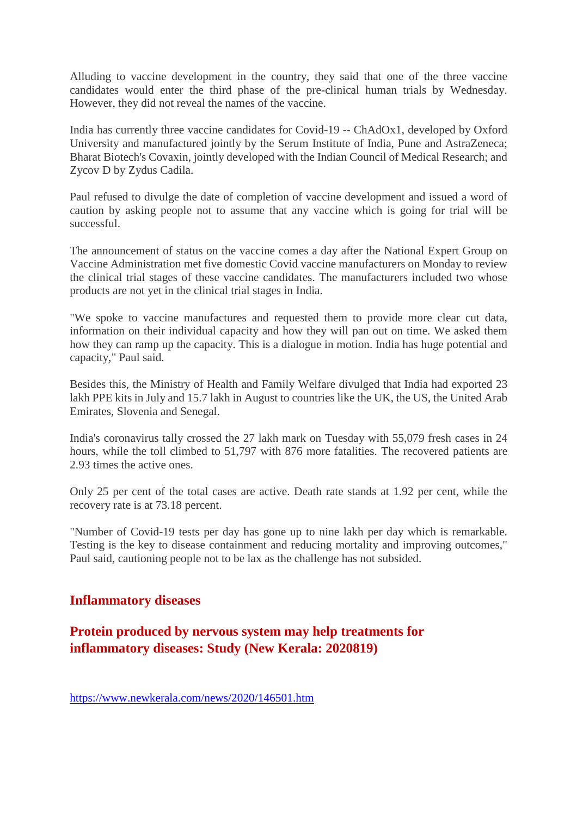Alluding to vaccine development in the country, they said that one of the three vaccine candidates would enter the third phase of the pre-clinical human trials by Wednesday. However, they did not reveal the names of the vaccine.

India has currently three vaccine candidates for Covid-19 -- ChAdOx1, developed by Oxford University and manufactured jointly by the Serum Institute of India, Pune and AstraZeneca; Bharat Biotech's Covaxin, jointly developed with the Indian Council of Medical Research; and Zycov D by Zydus Cadila.

Paul refused to divulge the date of completion of vaccine development and issued a word of caution by asking people not to assume that any vaccine which is going for trial will be successful.

The announcement of status on the vaccine comes a day after the National Expert Group on Vaccine Administration met five domestic Covid vaccine manufacturers on Monday to review the clinical trial stages of these vaccine candidates. The manufacturers included two whose products are not yet in the clinical trial stages in India.

"We spoke to vaccine manufactures and requested them to provide more clear cut data, information on their individual capacity and how they will pan out on time. We asked them how they can ramp up the capacity. This is a dialogue in motion. India has huge potential and capacity," Paul said.

Besides this, the Ministry of Health and Family Welfare divulged that India had exported 23 lakh PPE kits in July and 15.7 lakh in August to countries like the UK, the US, the United Arab Emirates, Slovenia and Senegal.

India's coronavirus tally crossed the 27 lakh mark on Tuesday with 55,079 fresh cases in 24 hours, while the toll climbed to 51,797 with 876 more fatalities. The recovered patients are 2.93 times the active ones.

Only 25 per cent of the total cases are active. Death rate stands at 1.92 per cent, while the recovery rate is at 73.18 percent.

"Number of Covid-19 tests per day has gone up to nine lakh per day which is remarkable. Testing is the key to disease containment and reducing mortality and improving outcomes," Paul said, cautioning people not to be lax as the challenge has not subsided.

#### **Inflammatory diseases**

**Protein produced by nervous system may help treatments for inflammatory diseases: Study (New Kerala: 2020819)**

https://www.newkerala.com/news/2020/146501.htm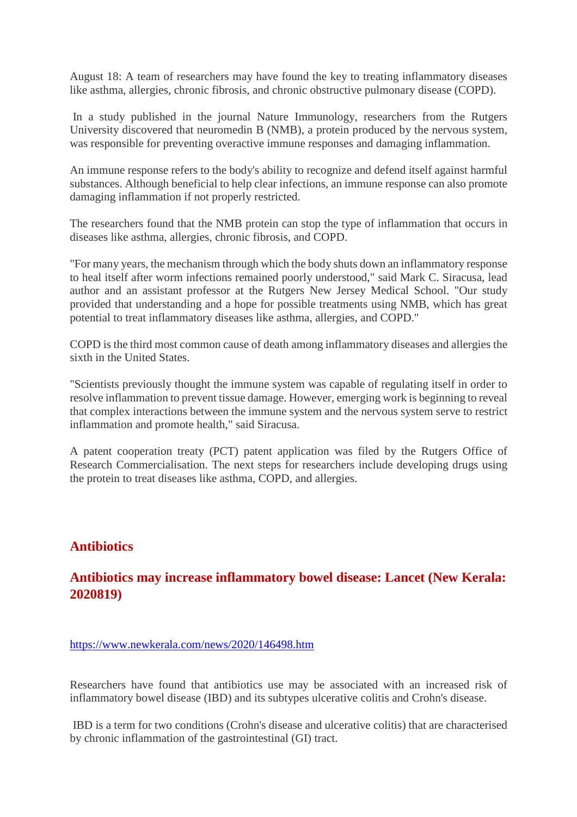August 18: A team of researchers may have found the key to treating inflammatory diseases like asthma, allergies, chronic fibrosis, and chronic obstructive pulmonary disease (COPD).

In a study published in the journal Nature Immunology, researchers from the Rutgers University discovered that neuromedin B (NMB), a protein produced by the nervous system, was responsible for preventing overactive immune responses and damaging inflammation.

An immune response refers to the body's ability to recognize and defend itself against harmful substances. Although beneficial to help clear infections, an immune response can also promote damaging inflammation if not properly restricted.

The researchers found that the NMB protein can stop the type of inflammation that occurs in diseases like asthma, allergies, chronic fibrosis, and COPD.

"For many years, the mechanism through which the body shuts down an inflammatory response to heal itself after worm infections remained poorly understood," said Mark C. Siracusa, lead author and an assistant professor at the Rutgers New Jersey Medical School. "Our study provided that understanding and a hope for possible treatments using NMB, which has great potential to treat inflammatory diseases like asthma, allergies, and COPD."

COPD is the third most common cause of death among inflammatory diseases and allergies the sixth in the United States.

"Scientists previously thought the immune system was capable of regulating itself in order to resolve inflammation to prevent tissue damage. However, emerging work is beginning to reveal that complex interactions between the immune system and the nervous system serve to restrict inflammation and promote health," said Siracusa.

A patent cooperation treaty (PCT) patent application was filed by the Rutgers Office of Research Commercialisation. The next steps for researchers include developing drugs using the protein to treat diseases like asthma, COPD, and allergies.

#### **Antibiotics**

#### **Antibiotics may increase inflammatory bowel disease: Lancet (New Kerala: 2020819)**

#### https://www.newkerala.com/news/2020/146498.htm

Researchers have found that antibiotics use may be associated with an increased risk of inflammatory bowel disease (IBD) and its subtypes ulcerative colitis and Crohn's disease.

IBD is a term for two conditions (Crohn's disease and ulcerative colitis) that are characterised by chronic inflammation of the gastrointestinal (GI) tract.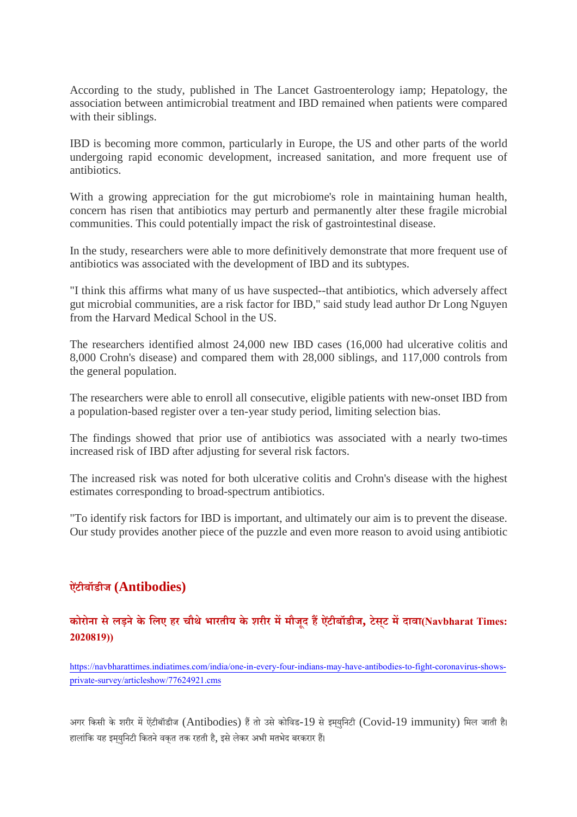According to the study, published in The Lancet Gastroenterology iamp; Hepatology, the association between antimicrobial treatment and IBD remained when patients were compared with their siblings.

IBD is becoming more common, particularly in Europe, the US and other parts of the world undergoing rapid economic development, increased sanitation, and more frequent use of antibiotics.

With a growing appreciation for the gut microbiome's role in maintaining human health, concern has risen that antibiotics may perturb and permanently alter these fragile microbial communities. This could potentially impact the risk of gastrointestinal disease.

In the study, researchers were able to more definitively demonstrate that more frequent use of antibiotics was associated with the development of IBD and its subtypes.

"I think this affirms what many of us have suspected--that antibiotics, which adversely affect gut microbial communities, are a risk factor for IBD," said study lead author Dr Long Nguyen from the Harvard Medical School in the US.

The researchers identified almost 24,000 new IBD cases (16,000 had ulcerative colitis and 8,000 Crohn's disease) and compared them with 28,000 siblings, and 117,000 controls from the general population.

The researchers were able to enroll all consecutive, eligible patients with new-onset IBD from a population-based register over a ten-year study period, limiting selection bias.

The findings showed that prior use of antibiotics was associated with a nearly two-times increased risk of IBD after adjusting for several risk factors.

The increased risk was noted for both ulcerative colitis and Crohn's disease with the highest estimates corresponding to broad-spectrum antibiotics.

"To identify risk factors for IBD is important, and ultimately our aim is to prevent the disease. Our study provides another piece of the puzzle and even more reason to avoid using antibiotic

#### **ऐटं ीबॉडीज (Antibodies)**

#### **कोरोना सेलड़नेके िलए हर चौथेभारतीय के शरीर ममौजूद हऐटं ीबॉडीज, टेसट् मदावा(Navbharat Times: 2020819))**

https://navbharattimes.indiatimes.com/india/one-in-every-four-indians-may-have-antibodies-to-fight-coronavirus-showsprivate-survey/articleshow/77624921.cms

अगर किसी के शरीर में ऐंटीबॉडीज (Antibodies) हैं तो उसे कोविड-19 से इमयुनिटी (Covid-19 immunity) मिल जाती है। हालांकि यह इमयनिटी कितने वकत तक रहती है, इसे लेकर अभी मतभेद बरकरार हैं।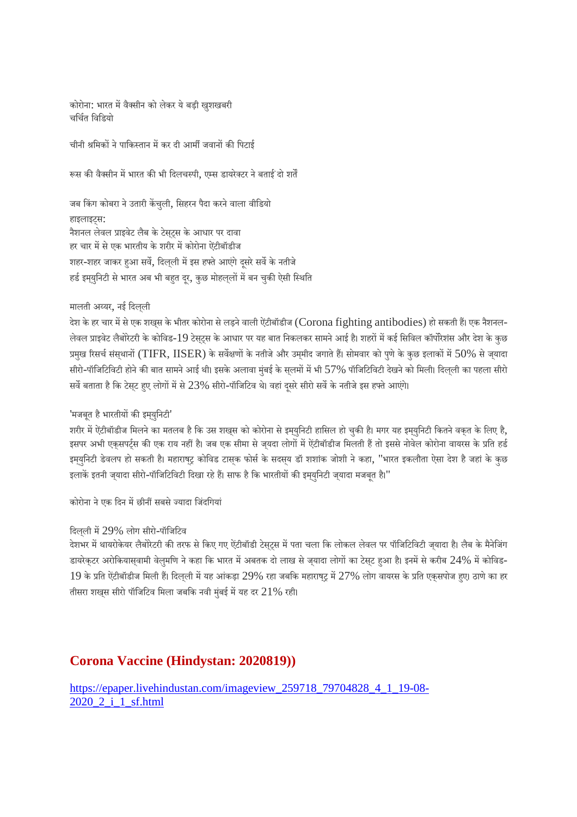कोरोना: भारत में वैक्सीन को लेकर ये बड़ी खुशखबरी चिचत िविडयो

चीनी श्रमिकों ने पाकिस्तान में कर दी आर्मी जवानों की पिटाई

रूस की वैक्सीन में भारत की भी दिलचस्पी, एम्स डायरेक्टर ने बताई दो शर्तें

जब किंग कोबरा ने उतारी केंचुली, सिहरन पैदा करने वाला वीडियो हाइलाइट्स: नैशनल लेवल ाइवेट लैब केटेसट््स केआधार पर दावा हर चार में से एक भारतीय के शरीर में कोरोना ऐंटीबॉडीज शहर-शहर जाकर हुआ सर्वे, दिल्ली में इस हफ्ते आएंगे दूसरे सर्वे के नतीजे हर्ड इम्युनिटी से भारत अब भी बहुत दूर, कुछ मोहल्लों में बन चुकी ऐसी स्थिति

#### मालती अय्यर, नई दिलली

देश के हर चार में से एक शख़्स के भीतर कोरोना से लड़ने वाली ऐंटीबॉडीज (Corona fighting antibodies) हो सकती हैं। एक नैशनल-लेवल प्राइवेट लैबोरेटरी के कोविड-19 टेसट्स के आधार पर यह बात निकलकर सामने आई है। शहरों में कई सिविल कॉर्पोरेशंस और देश के कुछ प्रमुख रिसर्च संस्थानों (TIFR, IISER) के सर्वेक्षणों के नतीजे और उम्मीद जगाते हैं। सोमवार को पुणे के कुछ इलाकों में 50% से ज्यादा सीरो-पॉजिटिविटी होने की बात सामने आई थी। इसके अलावा मुंबई के सलमों में भी 57% पॉजिटिविटी देखने को मिली। दिलली का पहला सीरो सर्वे बताता है कि टेसट हुए लोगों में से 23% सीरो-पॉजिटिव थे। वहां दूसरे सीरो सर्वे के नतीजे इस हफ्ते आएंगे।

#### 'मजबूत है भारतीयों की इमयुनिटी'

शरीर में ऐंटीबॉडीज मिलने का मतलब है कि उस शखस को कोरोना से इमयुनिटी हासिल हो चुकी है। मगर यह इमयुनिटी कितने वकृत के लिए है, इसपर अभी एक्सपर्ट्स की एक राय नहीं है। जब एक सीमा से ज़्यदा लोगों में ऐंटीबॉडीज मिलती हैं तो इससे नोवेल कोरोना वायरस के प्रति हर्ड इम्युनिटी डेवलप हो सकती है। महाराष्ट्र कोविड टास्क फोर्स के सदस्य डॉ शशांक जोशी ने कहा, "भारत इकलौता ऐसा देश है जहां के कुछ इलाकें इतनी जयादा सीरो-पॉजिटिविटी दिखा रहे हैं। साफ है कि भारतीयों की इमयुनिटी जयादा मजबूत है।"

कोरोना ने एक दिन में छीनीं सबसे ज्यादा जिंदगियां

#### दिलली में 29% लोग सीरो-पॉजिटिव

देशभर में थायरोकेयर लैबोरेटरी की तरफ से किए गए ऐंटीबॉडी टेसट्स में पता चला कि लोकल लेवल पर पॉजिटिविटी ज्यादा है। लैब के मैनेजिंग डायरेकटर अरोकियासवामी वेलमणि ने कहा कि भारत में अबतक दो लाख से जयादा लोगों का टेसट हआ है। इनमें से करीब 24% में कोविड- $19$  के प्रति ऐंटीबॉडीज मिली हैं। दिल्ली में यह आंकड़ा  $29\%$  रहा जबकि महाराष्ट्र में  $27\%$  लोग वायरस के प्रति एक्सपोज हुए। ठाणे का हर तीसरा शखस सीरो पॉजिटिव मिला जबकि नवी मंबई में यह दर  $21\%$  रही।

#### **Corona Vaccine (Hindystan: 2020819))**

https://epaper.livehindustan.com/imageview\_259718\_79704828\_4\_1\_19-08- 2020\_2\_i\_1\_sf.html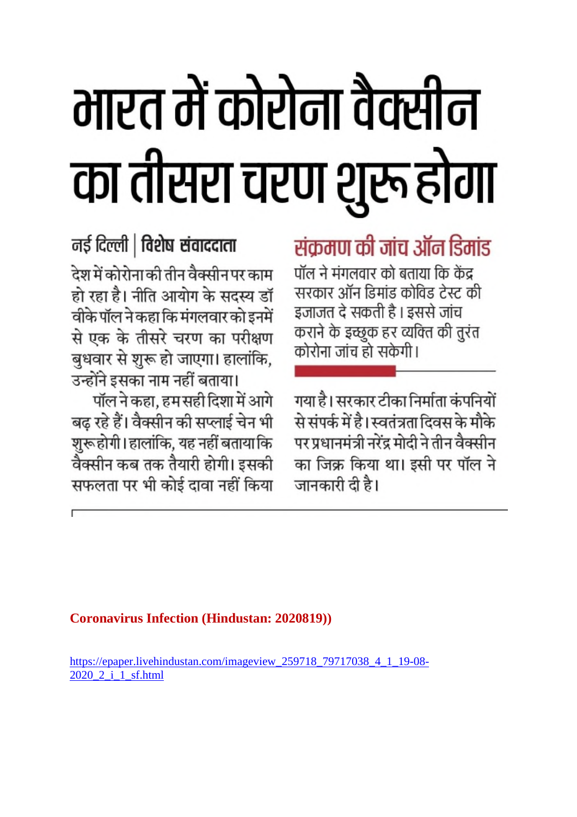# मारत में कोरोना वैक्सीन का तीसरा चरण शुरू होगा

### नई दिल्ली | विशेष संवाददाता

देश में कोरोना की तीन वैक्सीन पर काम हो रहा है। नीति आयोग के सदस्य डॉ वीके पॉल ने कहा कि मंगलवार को इनमें से एक के तीसरे चरण का परीक्षण बुधवार से शुरू हो जाएगा। हालांकि, उन्होंने इसका नाम नहीं बताया।

पॉल ने कहा, हम सही दिशा में आगे बढ़ रहे हैं। वैक्सीन की सप्लाई चेन भी शुरू होगी। हालांकि, यह नहीं बताया कि वैक्सीन कब तक तैयारी होगी। इसकी सफलता पर भी कोई दावा नहीं किया

## संक्रमण की जांच ऑन डिमांड

पॉल ने मंगलवार को बताया कि केंद्र सरकार ऑन डिमांड कोविड टेस्ट की इजाजत दे सकती है। इससे जांच कराने के इच्छुक हर व्यक्ति की तुरंत<br>कोरोना जांच हो सकेगी।

गया है। सरकार टीका निर्माता कंपनियों से संपर्क में है। स्वतंत्रता दिवस के मौके पर प्रधानमंत्री नरेंद्र मोदी ने तीन वैक्सीन का जिक्र किया था। इसी पर पॉल ने जानकारी दी है।

#### **Coronavirus Infection (Hindustan: 2020819))**

https://epaper.livehindustan.com/imageview\_259718\_79717038\_4\_1\_19-08-  $2020\,2\,$ i 1 sf.html